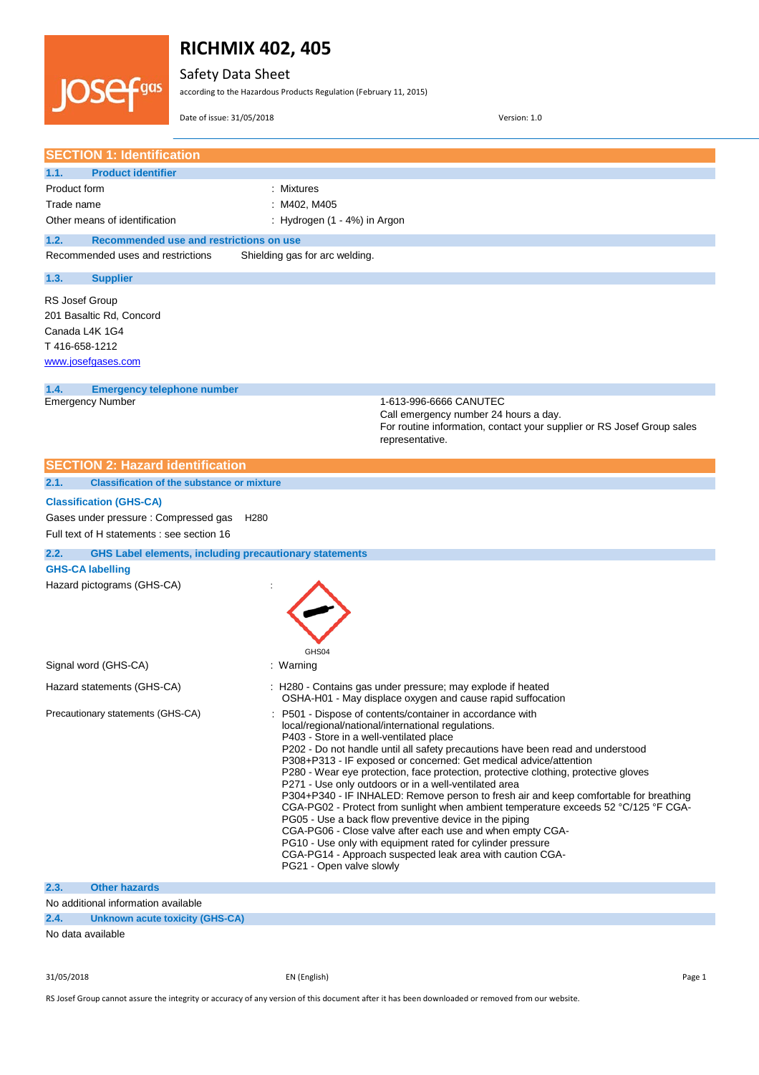

Safety Data Sheet

according to the Hazardous Products Regulation (February 11, 2015)

Date of issue: 31/05/2018 Version: 1.0

|                                 | <b>SECTION 1: Identification</b>                                                                                      |                  |                                                                     |                                                                                                                                                                                                                                                                                                                                                                                                                                                                                                                                                                                                                                                                                                                                                                                                                                                           |
|---------------------------------|-----------------------------------------------------------------------------------------------------------------------|------------------|---------------------------------------------------------------------|-----------------------------------------------------------------------------------------------------------------------------------------------------------------------------------------------------------------------------------------------------------------------------------------------------------------------------------------------------------------------------------------------------------------------------------------------------------------------------------------------------------------------------------------------------------------------------------------------------------------------------------------------------------------------------------------------------------------------------------------------------------------------------------------------------------------------------------------------------------|
| 1.1.                            | <b>Product identifier</b>                                                                                             |                  |                                                                     |                                                                                                                                                                                                                                                                                                                                                                                                                                                                                                                                                                                                                                                                                                                                                                                                                                                           |
| Product form                    |                                                                                                                       |                  | : Mixtures                                                          |                                                                                                                                                                                                                                                                                                                                                                                                                                                                                                                                                                                                                                                                                                                                                                                                                                                           |
| Trade name                      |                                                                                                                       |                  | : M402, M405                                                        |                                                                                                                                                                                                                                                                                                                                                                                                                                                                                                                                                                                                                                                                                                                                                                                                                                                           |
|                                 | Other means of identification                                                                                         |                  | : Hydrogen (1 - 4%) in Argon                                        |                                                                                                                                                                                                                                                                                                                                                                                                                                                                                                                                                                                                                                                                                                                                                                                                                                                           |
| 1.2.                            | Recommended use and restrictions on use                                                                               |                  |                                                                     |                                                                                                                                                                                                                                                                                                                                                                                                                                                                                                                                                                                                                                                                                                                                                                                                                                                           |
|                                 | Recommended uses and restrictions                                                                                     |                  | Shielding gas for arc welding.                                      |                                                                                                                                                                                                                                                                                                                                                                                                                                                                                                                                                                                                                                                                                                                                                                                                                                                           |
| 1.3.                            | <b>Supplier</b>                                                                                                       |                  |                                                                     |                                                                                                                                                                                                                                                                                                                                                                                                                                                                                                                                                                                                                                                                                                                                                                                                                                                           |
| RS Josef Group<br>T416-658-1212 | 201 Basaltic Rd, Concord<br>Canada L4K 1G4<br>www.josefgases.com                                                      |                  |                                                                     |                                                                                                                                                                                                                                                                                                                                                                                                                                                                                                                                                                                                                                                                                                                                                                                                                                                           |
| 1.4.                            | <b>Emergency telephone number</b>                                                                                     |                  |                                                                     |                                                                                                                                                                                                                                                                                                                                                                                                                                                                                                                                                                                                                                                                                                                                                                                                                                                           |
|                                 | <b>Emergency Number</b>                                                                                               |                  |                                                                     | 1-613-996-6666 CANUTEC<br>Call emergency number 24 hours a day.<br>For routine information, contact your supplier or RS Josef Group sales<br>representative.                                                                                                                                                                                                                                                                                                                                                                                                                                                                                                                                                                                                                                                                                              |
|                                 | <b>SECTION 2: Hazard identification</b>                                                                               |                  |                                                                     |                                                                                                                                                                                                                                                                                                                                                                                                                                                                                                                                                                                                                                                                                                                                                                                                                                                           |
| 2.1.                            | <b>Classification of the substance or mixture</b>                                                                     |                  |                                                                     |                                                                                                                                                                                                                                                                                                                                                                                                                                                                                                                                                                                                                                                                                                                                                                                                                                                           |
|                                 | <b>Classification (GHS-CA)</b><br>Gases under pressure : Compressed gas<br>Full text of H statements : see section 16 | H <sub>280</sub> |                                                                     |                                                                                                                                                                                                                                                                                                                                                                                                                                                                                                                                                                                                                                                                                                                                                                                                                                                           |
| 2.2.                            | <b>GHS Label elements, including precautionary statements</b>                                                         |                  |                                                                     |                                                                                                                                                                                                                                                                                                                                                                                                                                                                                                                                                                                                                                                                                                                                                                                                                                                           |
|                                 | <b>GHS-CA labelling</b>                                                                                               |                  |                                                                     |                                                                                                                                                                                                                                                                                                                                                                                                                                                                                                                                                                                                                                                                                                                                                                                                                                                           |
|                                 | Hazard pictograms (GHS-CA)                                                                                            |                  | GHS04                                                               |                                                                                                                                                                                                                                                                                                                                                                                                                                                                                                                                                                                                                                                                                                                                                                                                                                                           |
|                                 | Signal word (GHS-CA)                                                                                                  |                  | : Warning                                                           |                                                                                                                                                                                                                                                                                                                                                                                                                                                                                                                                                                                                                                                                                                                                                                                                                                                           |
|                                 | Hazard statements (GHS-CA)                                                                                            |                  |                                                                     | : H280 - Contains gas under pressure; may explode if heated<br>OSHA-H01 - May displace oxygen and cause rapid suffocation                                                                                                                                                                                                                                                                                                                                                                                                                                                                                                                                                                                                                                                                                                                                 |
|                                 | Precautionary statements (GHS-CA)                                                                                     |                  | P403 - Store in a well-ventilated place<br>PG21 - Open valve slowly | : P501 - Dispose of contents/container in accordance with<br>local/regional/national/international regulations.<br>P202 - Do not handle until all safety precautions have been read and understood<br>P308+P313 - IF exposed or concerned: Get medical advice/attention<br>P280 - Wear eye protection, face protection, protective clothing, protective gloves<br>P271 - Use only outdoors or in a well-ventilated area<br>P304+P340 - IF INHALED: Remove person to fresh air and keep comfortable for breathing<br>CGA-PG02 - Protect from sunlight when ambient temperature exceeds 52 °C/125 °F CGA-<br>PG05 - Use a back flow preventive device in the piping<br>CGA-PG06 - Close valve after each use and when empty CGA-<br>PG10 - Use only with equipment rated for cylinder pressure<br>CGA-PG14 - Approach suspected leak area with caution CGA- |
| 2.3.                            | <b>Other hazards</b>                                                                                                  |                  |                                                                     |                                                                                                                                                                                                                                                                                                                                                                                                                                                                                                                                                                                                                                                                                                                                                                                                                                                           |
|                                 | No additional information available                                                                                   |                  |                                                                     |                                                                                                                                                                                                                                                                                                                                                                                                                                                                                                                                                                                                                                                                                                                                                                                                                                                           |
| 2.4.                            | <b>Unknown acute toxicity (GHS-CA)</b>                                                                                |                  |                                                                     |                                                                                                                                                                                                                                                                                                                                                                                                                                                                                                                                                                                                                                                                                                                                                                                                                                                           |
|                                 |                                                                                                                       |                  |                                                                     |                                                                                                                                                                                                                                                                                                                                                                                                                                                                                                                                                                                                                                                                                                                                                                                                                                                           |

No data available

31/05/2018 EN (English) Page 1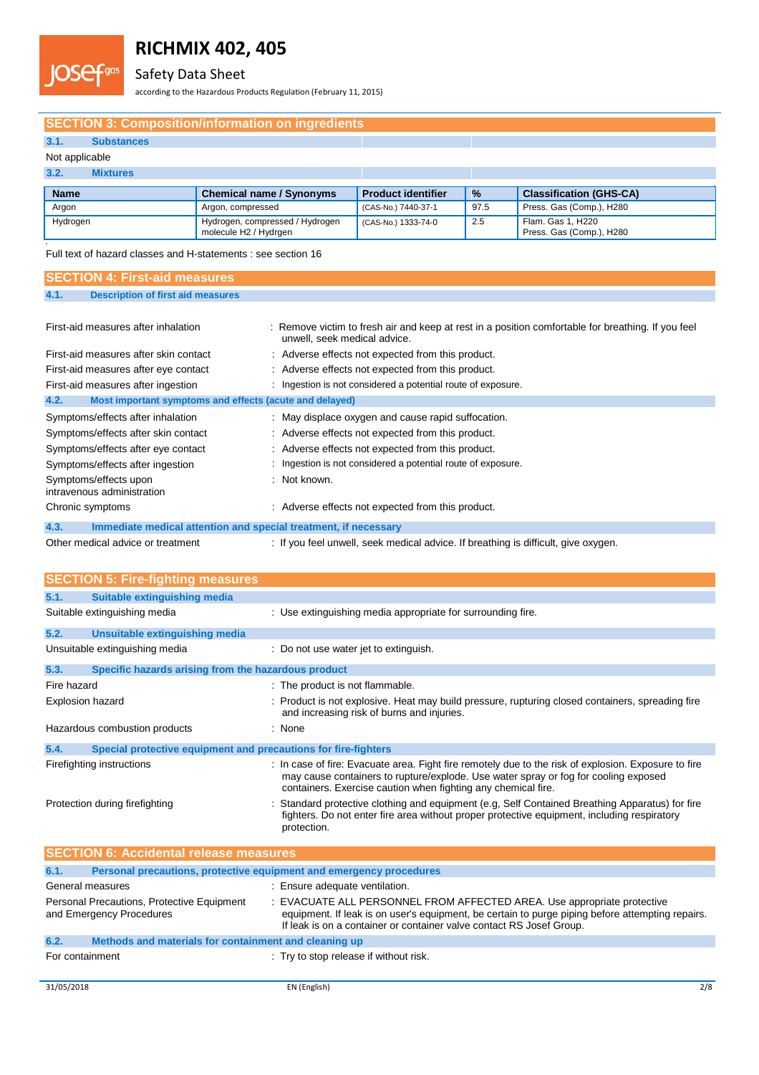# Safety Data Sheet

according to the Hazardous Products Regulation (February 11, 2015)

## **SECTION 3: Composition/information on ingredients**

# **3.1. Substances**

### Not applicable

**JOSef** 

Lgas

### **3.2. Mixtures**

**s**

| <b>Name</b> | <b>Chemical name / Synonyms</b>                          | <b>Product identifier</b> | $\frac{9}{6}$ | <b>Classification (GHS-CA)</b>                |
|-------------|----------------------------------------------------------|---------------------------|---------------|-----------------------------------------------|
| Argon       | Argon, compressed                                        | (CAS-No.) 7440-37-1       | 97.5          | Press. Gas (Comp.), H280                      |
| Hydrogen    | Hydrogen, compressed / Hydrogen<br>molecule H2 / Hydrgen | (CAS-No.) 1333-74-0       | 2.5           | Flam. Gas 1. H220<br>Press. Gas (Comp.), H280 |

Full text of hazard classes and H-statements : see section 16

| <b>SECTION 4: First-aid measures</b>                                    |                                                                                                                                    |  |
|-------------------------------------------------------------------------|------------------------------------------------------------------------------------------------------------------------------------|--|
| 4.1.<br><b>Description of first aid measures</b>                        |                                                                                                                                    |  |
|                                                                         |                                                                                                                                    |  |
| First-aid measures after inhalation                                     | : Remove victim to fresh air and keep at rest in a position comfortable for breathing. If you feel<br>unwell, seek medical advice. |  |
| First-aid measures after skin contact                                   | : Adverse effects not expected from this product.                                                                                  |  |
| First-aid measures after eye contact                                    | : Adverse effects not expected from this product.                                                                                  |  |
| First-aid measures after ingestion                                      | : Ingestion is not considered a potential route of exposure.                                                                       |  |
| 4.2.<br>Most important symptoms and effects (acute and delayed)         |                                                                                                                                    |  |
| Symptoms/effects after inhalation                                       | : May displace oxygen and cause rapid suffocation.                                                                                 |  |
| Symptoms/effects after skin contact                                     | : Adverse effects not expected from this product.                                                                                  |  |
| Symptoms/effects after eye contact                                      | : Adverse effects not expected from this product.                                                                                  |  |
| Symptoms/effects after ingestion                                        | : Ingestion is not considered a potential route of exposure.                                                                       |  |
| Symptoms/effects upon<br>intravenous administration                     | : Not known.                                                                                                                       |  |
| Chronic symptoms                                                        | : Adverse effects not expected from this product.                                                                                  |  |
| 4.3.<br>Immediate medical attention and special treatment, if necessary |                                                                                                                                    |  |

| <b>TW.</b> | <b>THILLOWARD HIGHLIGH ARGENTURY II AND OPSOTAL HIGHLIGHT, II HOOGGGALY</b> |                                                                                    |
|------------|-----------------------------------------------------------------------------|------------------------------------------------------------------------------------|
|            | Other medical advice or treatment                                           | : If you feel unwell, seek medical advice. If breathing is difficult, give oxygen. |

| <b>SECTION 5: Fire-fighting measures</b>                                    |                                                                                                                                                                                                                                                              |  |  |
|-----------------------------------------------------------------------------|--------------------------------------------------------------------------------------------------------------------------------------------------------------------------------------------------------------------------------------------------------------|--|--|
| 5.1.<br><b>Suitable extinguishing media</b>                                 |                                                                                                                                                                                                                                                              |  |  |
| Suitable extinguishing media                                                | : Use extinguishing media appropriate for surrounding fire.                                                                                                                                                                                                  |  |  |
| 5.2.<br>Unsuitable extinguishing media                                      |                                                                                                                                                                                                                                                              |  |  |
| Unsuitable extinguishing media                                              | : Do not use water jet to extinguish.                                                                                                                                                                                                                        |  |  |
| 5.3.<br>Specific hazards arising from the hazardous product                 |                                                                                                                                                                                                                                                              |  |  |
| Fire hazard                                                                 | : The product is not flammable.                                                                                                                                                                                                                              |  |  |
| <b>Explosion hazard</b>                                                     | : Product is not explosive. Heat may build pressure, rupturing closed containers, spreading fire<br>and increasing risk of burns and injuries.                                                                                                               |  |  |
| Hazardous combustion products                                               | : None                                                                                                                                                                                                                                                       |  |  |
| 5.4.<br>Special protective equipment and precautions for fire-fighters      |                                                                                                                                                                                                                                                              |  |  |
| Firefighting instructions                                                   | : In case of fire: Evacuate area. Fight fire remotely due to the risk of explosion. Exposure to fire<br>may cause containers to rupture/explode. Use water spray or fog for cooling exposed<br>containers. Exercise caution when fighting any chemical fire. |  |  |
| Protection during firefighting                                              | Standard protective clothing and equipment (e.g. Self Contained Breathing Apparatus) for fire<br>fighters. Do not enter fire area without proper protective equipment, including respiratory<br>protection.                                                  |  |  |
| <b>SECTION 6: Accidental release measures</b>                               |                                                                                                                                                                                                                                                              |  |  |
| 6.1.<br>Personal precautions, protective equipment and emergency procedures |                                                                                                                                                                                                                                                              |  |  |
| General measures                                                            | : Ensure adequate ventilation.                                                                                                                                                                                                                               |  |  |
| Personal Precautions, Protective Equipment<br>and Emergency Procedures      | : EVACUATE ALL PERSONNEL FROM AFFECTED AREA. Use appropriate protective<br>equipment. If leak is on user's equipment, be certain to purge piping before attempting repairs.<br>If leak is on a container or container valve contact RS Josef Group.          |  |  |
| 6.2.<br>Methods and materials for containment and cleaning up               |                                                                                                                                                                                                                                                              |  |  |
|                                                                             |                                                                                                                                                                                                                                                              |  |  |
|                                                                             |                                                                                                                                                                                                                                                              |  |  |

For containment  $\qquad \qquad :$  Try to stop release if without risk.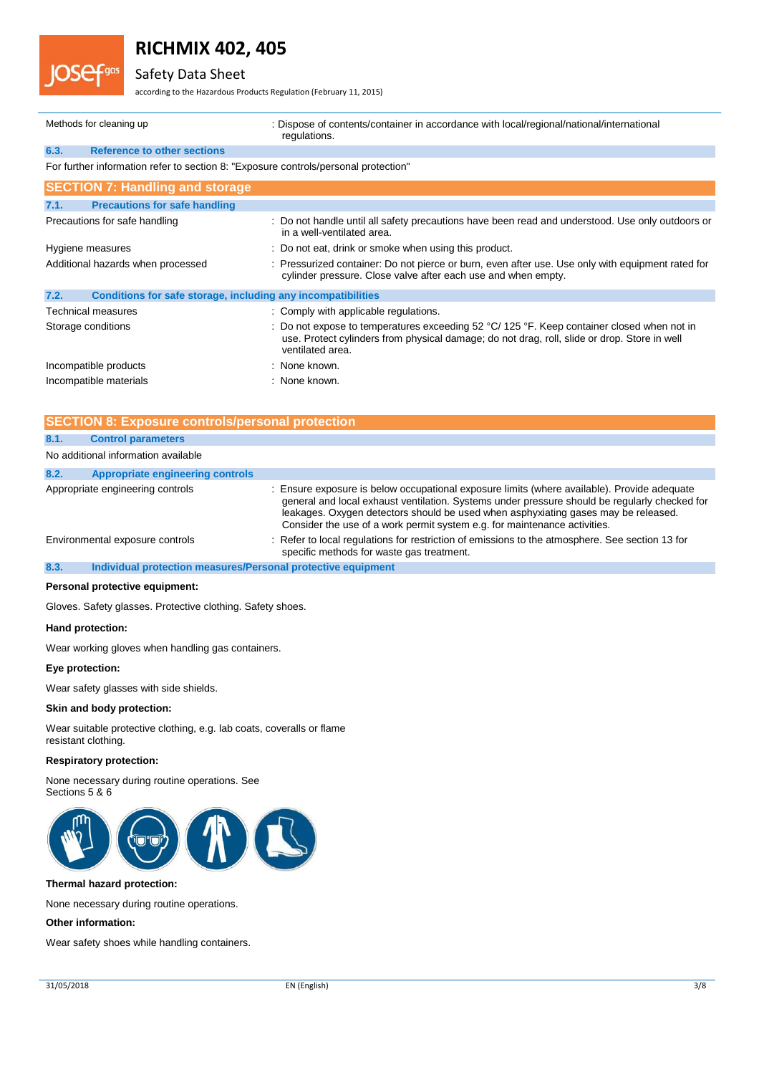# Safety Data Sheet

according to the Hazardous Products Regulation (February 11, 2015)

| Methods for cleaning up           |                                                                                     |                                                                                                                                                                    | : Dispose of contents/container in accordance with local/regional/national/international<br>regulations.                                                                                                                           |  |
|-----------------------------------|-------------------------------------------------------------------------------------|--------------------------------------------------------------------------------------------------------------------------------------------------------------------|------------------------------------------------------------------------------------------------------------------------------------------------------------------------------------------------------------------------------------|--|
| 6.3.                              | <b>Reference to other sections</b>                                                  |                                                                                                                                                                    |                                                                                                                                                                                                                                    |  |
|                                   | For further information refer to section 8: "Exposure controls/personal protection" |                                                                                                                                                                    |                                                                                                                                                                                                                                    |  |
|                                   | <b>SECTION 7: Handling and storage</b>                                              |                                                                                                                                                                    |                                                                                                                                                                                                                                    |  |
| 7.1.                              | <b>Precautions for safe handling</b>                                                |                                                                                                                                                                    |                                                                                                                                                                                                                                    |  |
|                                   | Precautions for safe handling                                                       |                                                                                                                                                                    | : Do not handle until all safety precautions have been read and understood. Use only outdoors or<br>in a well-ventilated area.                                                                                                     |  |
| Hygiene measures                  |                                                                                     |                                                                                                                                                                    | : Do not eat, drink or smoke when using this product.                                                                                                                                                                              |  |
| Additional hazards when processed |                                                                                     | : Pressurized container: Do not pierce or burn, even after use. Use only with equipment rated for<br>cylinder pressure. Close valve after each use and when empty. |                                                                                                                                                                                                                                    |  |
| 7.2.                              | Conditions for safe storage, including any incompatibilities                        |                                                                                                                                                                    |                                                                                                                                                                                                                                    |  |
|                                   | Technical measures                                                                  |                                                                                                                                                                    | : Comply with applicable regulations.                                                                                                                                                                                              |  |
| Storage conditions                |                                                                                     |                                                                                                                                                                    | : Do not expose to temperatures exceeding 52 $^{\circ}$ C/ 125 $^{\circ}$ F. Keep container closed when not in<br>use. Protect cylinders from physical damage; do not drag, roll, slide or drop. Store in well<br>ventilated area. |  |
| Incompatible products             |                                                                                     |                                                                                                                                                                    | : None known.                                                                                                                                                                                                                      |  |
| Incompatible materials            |                                                                                     | : None known.                                                                                                                                                      |                                                                                                                                                                                                                                    |  |

## **SECTION 8: Exposure controls/personal protection**

| 8.1.                            | <b>Control parameters</b>                                    |                                                                                                                                                                                                                                                                                                                                                                 |  |  |  |
|---------------------------------|--------------------------------------------------------------|-----------------------------------------------------------------------------------------------------------------------------------------------------------------------------------------------------------------------------------------------------------------------------------------------------------------------------------------------------------------|--|--|--|
|                                 | No additional information available                          |                                                                                                                                                                                                                                                                                                                                                                 |  |  |  |
| 8.2.                            | <b>Appropriate engineering controls</b>                      |                                                                                                                                                                                                                                                                                                                                                                 |  |  |  |
|                                 | Appropriate engineering controls                             | : Ensure exposure is below occupational exposure limits (where available). Provide adequate<br>general and local exhaust ventilation. Systems under pressure should be regularly checked for<br>leakages. Oxygen detectors should be used when asphyxiating gases may be released.<br>Consider the use of a work permit system e.g. for maintenance activities. |  |  |  |
| Environmental exposure controls |                                                              | : Refer to local regulations for restriction of emissions to the atmosphere. See section 13 for<br>specific methods for waste gas treatment.                                                                                                                                                                                                                    |  |  |  |
| 8.3.                            | Individual protection measures/Personal protective equipment |                                                                                                                                                                                                                                                                                                                                                                 |  |  |  |

### **Personal protective equipment:**

Gloves. Safety glasses. Protective clothing. Safety shoes.

### **Hand protection:**

Wear working gloves when handling gas containers.

### **Eye protection:**

Wear safety glasses with side shields.

### **Skin and body protection:**

Wear suitable protective clothing, e.g. lab coats, coveralls or flame resistant clothing.

### **Respiratory protection:**

None necessary during routine operations. See Sections 5 & 6



### **Thermal hazard protection:**

None necessary during routine operations.

### **Other information:**

Wear safety shoes while handling containers.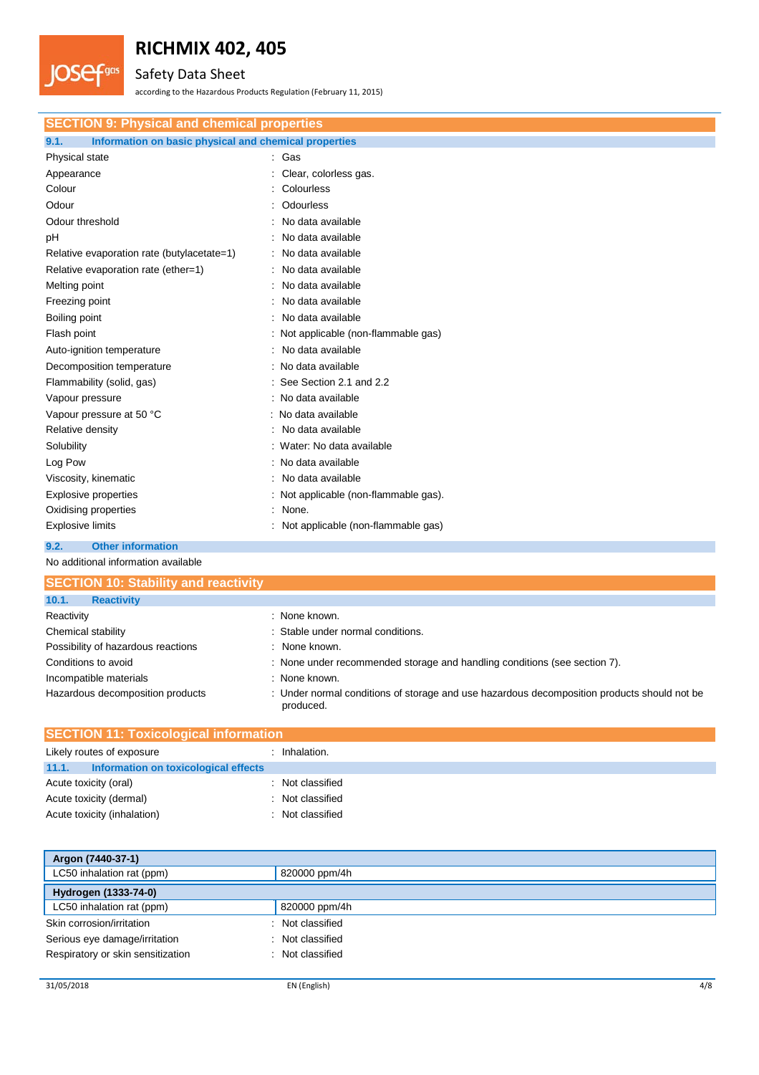# Safety Data Sheet

**JOSefans** 

according to the Hazardous Products Regulation (February 11, 2015)

| <b>SECTION 9: Physical and chemical properties</b>            |                                       |  |  |  |
|---------------------------------------------------------------|---------------------------------------|--|--|--|
| 9.1.<br>Information on basic physical and chemical properties |                                       |  |  |  |
| Physical state                                                | : Gas                                 |  |  |  |
| Appearance                                                    | : Clear, colorless gas.               |  |  |  |
| Colour                                                        | Colourless                            |  |  |  |
| Odour                                                         | Odourless                             |  |  |  |
| Odour threshold                                               | No data available                     |  |  |  |
| pH                                                            | No data available                     |  |  |  |
| Relative evaporation rate (butylacetate=1)                    | No data available                     |  |  |  |
| Relative evaporation rate (ether=1)                           | No data available                     |  |  |  |
| Melting point                                                 | No data available                     |  |  |  |
| Freezing point                                                | No data available                     |  |  |  |
| Boiling point                                                 | No data available                     |  |  |  |
| Flash point                                                   | Not applicable (non-flammable gas)    |  |  |  |
| Auto-ignition temperature                                     | No data available                     |  |  |  |
| Decomposition temperature                                     | No data available                     |  |  |  |
| Flammability (solid, gas)                                     | See Section 2.1 and 2.2               |  |  |  |
| Vapour pressure                                               | : No data available                   |  |  |  |
| Vapour pressure at 50 °C                                      | : No data available                   |  |  |  |
| Relative density                                              | No data available                     |  |  |  |
| Solubility                                                    | : Water: No data available            |  |  |  |
| Log Pow                                                       | : No data available                   |  |  |  |
| Viscosity, kinematic                                          | No data available                     |  |  |  |
| <b>Explosive properties</b>                                   | : Not applicable (non-flammable gas). |  |  |  |
| Oxidising properties                                          | None.                                 |  |  |  |
| <b>Explosive limits</b>                                       | Not applicable (non-flammable gas)    |  |  |  |
| 9.2.<br><b>Other information</b>                              |                                       |  |  |  |

No additional information available

| <b>SECTION 10: Stability and reactivity</b> |                                                                                                          |  |
|---------------------------------------------|----------------------------------------------------------------------------------------------------------|--|
| 10.1.<br><b>Reactivity</b>                  |                                                                                                          |  |
| Reactivity                                  | : None known.                                                                                            |  |
| Chemical stability                          | : Stable under normal conditions.                                                                        |  |
| Possibility of hazardous reactions          | : None known.                                                                                            |  |
| Conditions to avoid                         | : None under recommended storage and handling conditions (see section 7).                                |  |
| Incompatible materials                      | : None known.                                                                                            |  |
| Hazardous decomposition products            | : Under normal conditions of storage and use hazardous decomposition products should not be<br>produced. |  |

| <b>SECTION 11: Toxicological information</b> |                                      |  |                  |  |
|----------------------------------------------|--------------------------------------|--|------------------|--|
| Likely routes of exposure                    |                                      |  | Inhalation.      |  |
| 11.1.                                        | Information on toxicological effects |  |                  |  |
| Acute toxicity (oral)                        |                                      |  | : Not classified |  |
| Acute toxicity (dermal)                      |                                      |  | : Not classified |  |
| Acute toxicity (inhalation)                  |                                      |  | : Not classified |  |

| Argon (7440-37-1)                 |                  |  |
|-----------------------------------|------------------|--|
| LC50 inhalation rat (ppm)         | 820000 ppm/4h    |  |
| Hydrogen (1333-74-0)              |                  |  |
| LC50 inhalation rat (ppm)         | 820000 ppm/4h    |  |
| Skin corrosion/irritation         | : Not classified |  |
| Serious eye damage/irritation     | : Not classified |  |
| Respiratory or skin sensitization | : Not classified |  |
|                                   |                  |  |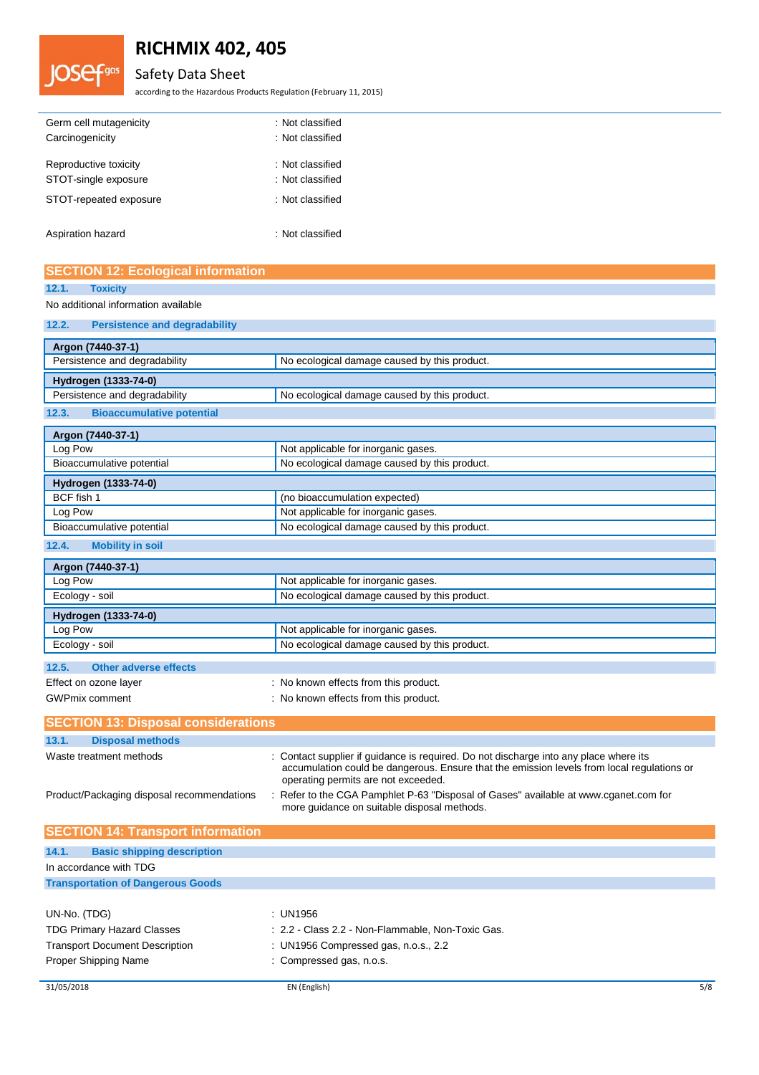# Safety Data Sheet

according to the Hazardous Products Regulation (February 11, 2015)

| Germ cell mutagenicity | : Not classified |
|------------------------|------------------|
| Carcinogenicity        | : Not classified |
| Reproductive toxicity  | : Not classified |
| STOT-single exposure   | : Not classified |
| STOT-repeated exposure | : Not classified |
|                        |                  |

Aspiration hazard is a set of the set of the set of the set of the set of the set of the set of the set of the

**JOSefans** 

|                | <b>SECTION 12: Ecological information</b> |
|----------------|-------------------------------------------|
| 12.1. Toxicity |                                           |

## No additional information available

### **12.2. Persistence and degradability**

| Argon (7440-37-1)                                                             |  |  |
|-------------------------------------------------------------------------------|--|--|
| Persistence and degradability<br>No ecological damage caused by this product. |  |  |
| Hydrogen (1333-74-0)                                                          |  |  |
| Persistence and degradability<br>No ecological damage caused by this product. |  |  |
| <b>Bioaccumulative potential</b><br>12.3.                                     |  |  |
| Argon (7440-37-1)                                                             |  |  |
| Not applicable for inorganic gases.<br>Log Pow                                |  |  |
| No ecological damage caused by this product.<br>Bioaccumulative potential     |  |  |
| Hydrogen (1333-74-0)                                                          |  |  |
| BCF fish 1<br>(no bioaccumulation expected)                                   |  |  |
| Not applicable for inorganic gases.<br>Log Pow                                |  |  |
| No ecological damage caused by this product.<br>Bioaccumulative potential     |  |  |

**12.4. Mobility in soil**

| Argon (7440-37-1)                     |                                              |  |
|---------------------------------------|----------------------------------------------|--|
| Log Pow                               | Not applicable for inorganic gases.          |  |
| Ecology - soil                        | No ecological damage caused by this product. |  |
| Hydrogen (1333-74-0)                  |                                              |  |
| Log Pow                               | Not applicable for inorganic gases.          |  |
| Ecology - soil                        | No ecological damage caused by this product. |  |
| 12.5.<br><b>Other adverse effects</b> |                                              |  |
| Effect on ozone layer                 | : No known effects from this product.        |  |
| <b>GWPmix comment</b>                 | : No known effects from this product.        |  |

| <b>SECTION 13: Disposal considerations</b> |                                                                                                                                                                                                                            |
|--------------------------------------------|----------------------------------------------------------------------------------------------------------------------------------------------------------------------------------------------------------------------------|
| <b>Disposal methods</b><br>13.1.           |                                                                                                                                                                                                                            |
| Waste treatment methods                    | : Contact supplier if guidance is required. Do not discharge into any place where its<br>accumulation could be dangerous. Ensure that the emission levels from local regulations or<br>operating permits are not exceeded. |
| Product/Packaging disposal recommendations | : Refer to the CGA Pamphlet P-63 "Disposal of Gases" available at www.cganet.com for<br>more quidance on suitable disposal methods.                                                                                        |
| <b>SECTION 14: Transport information</b>   |                                                                                                                                                                                                                            |
| 14.1.<br><b>Basic shipping description</b> |                                                                                                                                                                                                                            |
| In accordance with TDG                     |                                                                                                                                                                                                                            |
| <b>Transportation of Dangerous Goods</b>   |                                                                                                                                                                                                                            |
|                                            |                                                                                                                                                                                                                            |
| UN-No. (TDG)                               | : UN1956                                                                                                                                                                                                                   |
| <b>TDG Primary Hazard Classes</b>          | : 2.2 - Class 2.2 - Non-Flammable, Non-Toxic Gas.                                                                                                                                                                          |
| <b>Transport Document Description</b>      | : UN1956 Compressed gas, n.o.s., $2.2$                                                                                                                                                                                     |
| Proper Shipping Name                       | : Compressed gas, n.o.s.                                                                                                                                                                                                   |
|                                            |                                                                                                                                                                                                                            |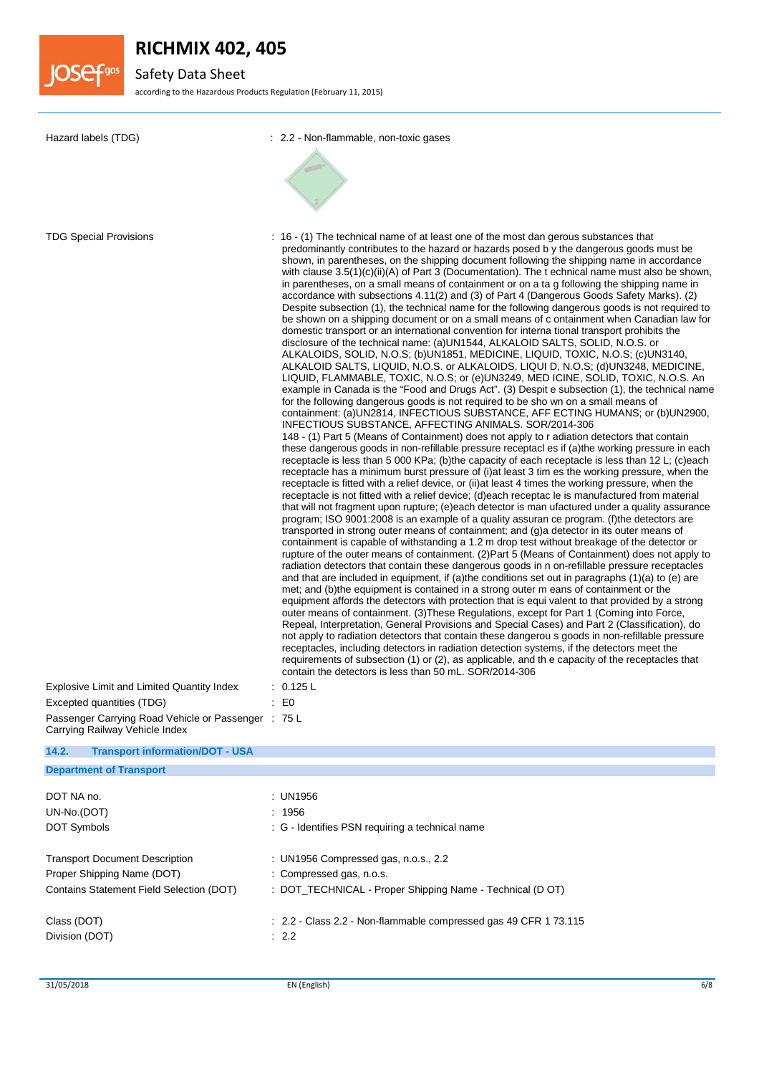

# Safety Data Sheet

according to the Hazardous Products Regulation (February 11, 2015)

| Hazard labels (TDG)                                                                                                                                                                               | : 2.2 - Non-flammable, non-toxic gases                                                                                                                                                                                                                                                                                                                                                                                                                                                                                                                                                                                                                                                                                                                                                                                                                                                                                                                                                                                                                                                                                                                                                                                                                                                                                                                                                                                                                                                                                                                                                                                                                                                                                                                                                                                                                                                                                                                                                                                                                                                                                                                                                                                                                                                                                                                                                                                                                                                                                                                                                                                                                                                                                                                                                                                                                                                                                                                                                                                                                                                                                                                                                                                                                                                                                                                                                                                                                                                                                                                                                                                                                              |
|---------------------------------------------------------------------------------------------------------------------------------------------------------------------------------------------------|---------------------------------------------------------------------------------------------------------------------------------------------------------------------------------------------------------------------------------------------------------------------------------------------------------------------------------------------------------------------------------------------------------------------------------------------------------------------------------------------------------------------------------------------------------------------------------------------------------------------------------------------------------------------------------------------------------------------------------------------------------------------------------------------------------------------------------------------------------------------------------------------------------------------------------------------------------------------------------------------------------------------------------------------------------------------------------------------------------------------------------------------------------------------------------------------------------------------------------------------------------------------------------------------------------------------------------------------------------------------------------------------------------------------------------------------------------------------------------------------------------------------------------------------------------------------------------------------------------------------------------------------------------------------------------------------------------------------------------------------------------------------------------------------------------------------------------------------------------------------------------------------------------------------------------------------------------------------------------------------------------------------------------------------------------------------------------------------------------------------------------------------------------------------------------------------------------------------------------------------------------------------------------------------------------------------------------------------------------------------------------------------------------------------------------------------------------------------------------------------------------------------------------------------------------------------------------------------------------------------------------------------------------------------------------------------------------------------------------------------------------------------------------------------------------------------------------------------------------------------------------------------------------------------------------------------------------------------------------------------------------------------------------------------------------------------------------------------------------------------------------------------------------------------------------------------------------------------------------------------------------------------------------------------------------------------------------------------------------------------------------------------------------------------------------------------------------------------------------------------------------------------------------------------------------------------------------------------------------------------------------------------------------------------|
| <b>TDG Special Provisions</b><br>Explosive Limit and Limited Quantity Index<br>Excepted quantities (TDG)<br>Passenger Carrying Road Vehicle or Passenger : 75 L<br>Carrying Railway Vehicle Index | : 16 - (1) The technical name of at least one of the most dan gerous substances that<br>predominantly contributes to the hazard or hazards posed by the dangerous goods must be<br>shown, in parentheses, on the shipping document following the shipping name in accordance<br>with clause $3.5(1)(c)(ii)(A)$ of Part 3 (Documentation). The t echnical name must also be shown,<br>in parentheses, on a small means of containment or on a ta g following the shipping name in<br>accordance with subsections 4.11(2) and (3) of Part 4 (Dangerous Goods Safety Marks). (2)<br>Despite subsection (1), the technical name for the following dangerous goods is not required to<br>be shown on a shipping document or on a small means of c ontainment when Canadian law for<br>domestic transport or an international convention for interna tional transport prohibits the<br>disclosure of the technical name: (a)UN1544, ALKALOID SALTS, SOLID, N.O.S. or<br>ALKALOIDS, SOLID, N.O.S; (b)UN1851, MEDICINE, LIQUID, TOXIC, N.O.S; (c)UN3140,<br>ALKALOID SALTS, LIQUID, N.O.S. or ALKALOIDS, LIQUI D, N.O.S; (d)UN3248, MEDICINE,<br>LIQUID, FLAMMABLE, TOXIC, N.O.S; or (e)UN3249, MED ICINE, SOLID, TOXIC, N.O.S. An<br>example in Canada is the "Food and Drugs Act". (3) Despit e subsection (1), the technical name<br>for the following dangerous goods is not required to be sho wn on a small means of<br>containment: (a)UN2814, INFECTIOUS SUBSTANCE, AFF ECTING HUMANS; or (b)UN2900,<br>INFECTIOUS SUBSTANCE, AFFECTING ANIMALS. SOR/2014-306<br>148 - (1) Part 5 (Means of Containment) does not apply to r adiation detectors that contain<br>these dangerous goods in non-refillable pressure receptacl es if (a)the working pressure in each<br>receptacle is less than 5 000 KPa; (b)the capacity of each receptacle is less than 12 L; (c)each<br>receptacle has a minimum burst pressure of (i) at least 3 tim es the working pressure, when the<br>receptacle is fitted with a relief device, or (ii) at least 4 times the working pressure, when the<br>receptacle is not fitted with a relief device; (d)each receptac le is manufactured from material<br>that will not fragment upon rupture; (e)each detector is man ufactured under a quality assurance<br>program; ISO 9001:2008 is an example of a quality assuran ce program. (f)the detectors are<br>transported in strong outer means of containment; and (g)a detector in its outer means of<br>containment is capable of withstanding a 1.2 m drop test without breakage of the detector or<br>rupture of the outer means of containment. (2) Part 5 (Means of Containment) does not apply to<br>radiation detectors that contain these dangerous goods in n on-refillable pressure receptacles<br>and that are included in equipment, if (a)the conditions set out in paragraphs (1)(a) to (e) are<br>met; and (b) the equipment is contained in a strong outer m eans of containment or the<br>equipment affords the detectors with protection that is equi valent to that provided by a strong<br>outer means of containment. (3) These Regulations, except for Part 1 (Coming into Force,<br>Repeal, Interpretation, General Provisions and Special Cases) and Part 2 (Classification), do<br>not apply to radiation detectors that contain these dangerou s goods in non-refillable pressure<br>receptacles, including detectors in radiation detection systems, if the detectors meet the<br>requirements of subsection (1) or (2), as applicable, and the capacity of the receptacles that<br>contain the detectors is less than 50 mL, SOR/2014-306<br>0.125 L<br>: E0 |
| 14.2.<br><b>Transport information/DOT - USA</b>                                                                                                                                                   |                                                                                                                                                                                                                                                                                                                                                                                                                                                                                                                                                                                                                                                                                                                                                                                                                                                                                                                                                                                                                                                                                                                                                                                                                                                                                                                                                                                                                                                                                                                                                                                                                                                                                                                                                                                                                                                                                                                                                                                                                                                                                                                                                                                                                                                                                                                                                                                                                                                                                                                                                                                                                                                                                                                                                                                                                                                                                                                                                                                                                                                                                                                                                                                                                                                                                                                                                                                                                                                                                                                                                                                                                                                                     |
| <b>Department of Transport</b>                                                                                                                                                                    |                                                                                                                                                                                                                                                                                                                                                                                                                                                                                                                                                                                                                                                                                                                                                                                                                                                                                                                                                                                                                                                                                                                                                                                                                                                                                                                                                                                                                                                                                                                                                                                                                                                                                                                                                                                                                                                                                                                                                                                                                                                                                                                                                                                                                                                                                                                                                                                                                                                                                                                                                                                                                                                                                                                                                                                                                                                                                                                                                                                                                                                                                                                                                                                                                                                                                                                                                                                                                                                                                                                                                                                                                                                                     |
| DOT NA no.                                                                                                                                                                                        | : UN1956                                                                                                                                                                                                                                                                                                                                                                                                                                                                                                                                                                                                                                                                                                                                                                                                                                                                                                                                                                                                                                                                                                                                                                                                                                                                                                                                                                                                                                                                                                                                                                                                                                                                                                                                                                                                                                                                                                                                                                                                                                                                                                                                                                                                                                                                                                                                                                                                                                                                                                                                                                                                                                                                                                                                                                                                                                                                                                                                                                                                                                                                                                                                                                                                                                                                                                                                                                                                                                                                                                                                                                                                                                                            |
| UN-No.(DOT)                                                                                                                                                                                       | : 1956                                                                                                                                                                                                                                                                                                                                                                                                                                                                                                                                                                                                                                                                                                                                                                                                                                                                                                                                                                                                                                                                                                                                                                                                                                                                                                                                                                                                                                                                                                                                                                                                                                                                                                                                                                                                                                                                                                                                                                                                                                                                                                                                                                                                                                                                                                                                                                                                                                                                                                                                                                                                                                                                                                                                                                                                                                                                                                                                                                                                                                                                                                                                                                                                                                                                                                                                                                                                                                                                                                                                                                                                                                                              |
| DOT Symbols                                                                                                                                                                                       | : G - Identifies PSN requiring a technical name                                                                                                                                                                                                                                                                                                                                                                                                                                                                                                                                                                                                                                                                                                                                                                                                                                                                                                                                                                                                                                                                                                                                                                                                                                                                                                                                                                                                                                                                                                                                                                                                                                                                                                                                                                                                                                                                                                                                                                                                                                                                                                                                                                                                                                                                                                                                                                                                                                                                                                                                                                                                                                                                                                                                                                                                                                                                                                                                                                                                                                                                                                                                                                                                                                                                                                                                                                                                                                                                                                                                                                                                                     |
| <b>Transport Document Description</b>                                                                                                                                                             | : UN1956 Compressed gas, n.o.s., 2.2                                                                                                                                                                                                                                                                                                                                                                                                                                                                                                                                                                                                                                                                                                                                                                                                                                                                                                                                                                                                                                                                                                                                                                                                                                                                                                                                                                                                                                                                                                                                                                                                                                                                                                                                                                                                                                                                                                                                                                                                                                                                                                                                                                                                                                                                                                                                                                                                                                                                                                                                                                                                                                                                                                                                                                                                                                                                                                                                                                                                                                                                                                                                                                                                                                                                                                                                                                                                                                                                                                                                                                                                                                |
| Proper Shipping Name (DOT)                                                                                                                                                                        | : Compressed gas, n.o.s.                                                                                                                                                                                                                                                                                                                                                                                                                                                                                                                                                                                                                                                                                                                                                                                                                                                                                                                                                                                                                                                                                                                                                                                                                                                                                                                                                                                                                                                                                                                                                                                                                                                                                                                                                                                                                                                                                                                                                                                                                                                                                                                                                                                                                                                                                                                                                                                                                                                                                                                                                                                                                                                                                                                                                                                                                                                                                                                                                                                                                                                                                                                                                                                                                                                                                                                                                                                                                                                                                                                                                                                                                                            |
| Contains Statement Field Selection (DOT)                                                                                                                                                          | : DOT_TECHNICAL - Proper Shipping Name - Technical (D OT)                                                                                                                                                                                                                                                                                                                                                                                                                                                                                                                                                                                                                                                                                                                                                                                                                                                                                                                                                                                                                                                                                                                                                                                                                                                                                                                                                                                                                                                                                                                                                                                                                                                                                                                                                                                                                                                                                                                                                                                                                                                                                                                                                                                                                                                                                                                                                                                                                                                                                                                                                                                                                                                                                                                                                                                                                                                                                                                                                                                                                                                                                                                                                                                                                                                                                                                                                                                                                                                                                                                                                                                                           |
| Class (DOT)<br>Division (DOT)                                                                                                                                                                     | : 2.2 - Class 2.2 - Non-flammable compressed gas 49 CFR 1 73.115<br>$\therefore$ 2.2                                                                                                                                                                                                                                                                                                                                                                                                                                                                                                                                                                                                                                                                                                                                                                                                                                                                                                                                                                                                                                                                                                                                                                                                                                                                                                                                                                                                                                                                                                                                                                                                                                                                                                                                                                                                                                                                                                                                                                                                                                                                                                                                                                                                                                                                                                                                                                                                                                                                                                                                                                                                                                                                                                                                                                                                                                                                                                                                                                                                                                                                                                                                                                                                                                                                                                                                                                                                                                                                                                                                                                                |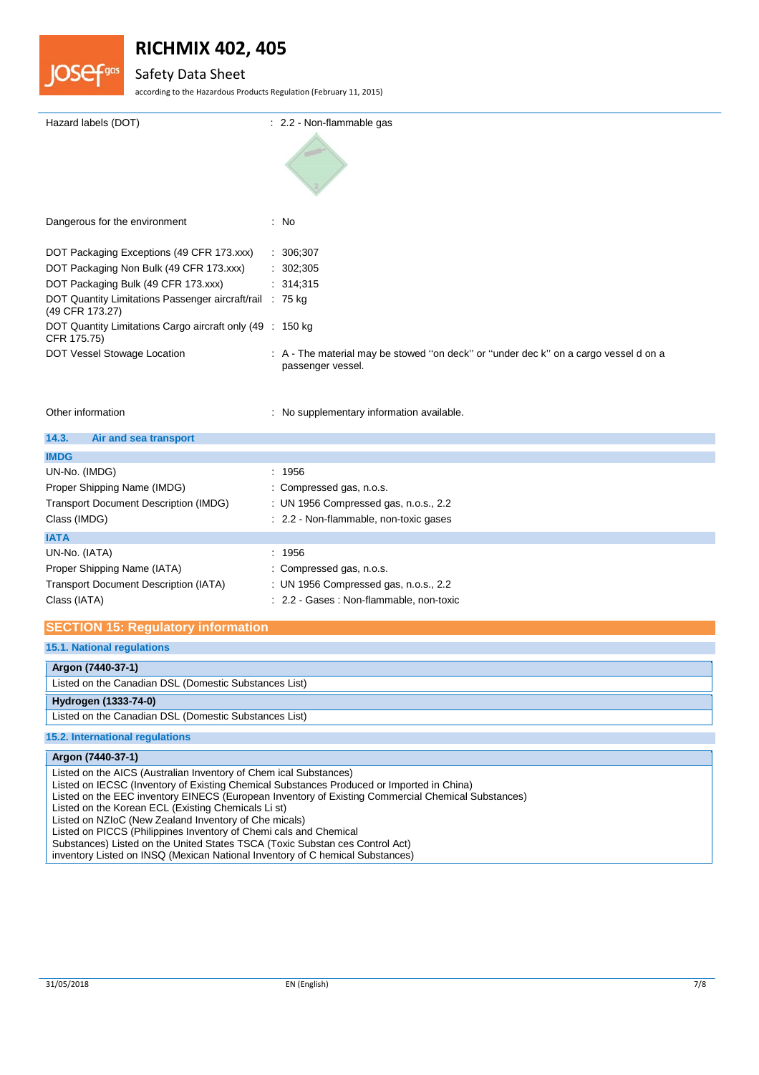



# Safety Data Sheet

according to the Hazardous Products Regulation (February 11, 2015)

| : 2.2 - Non-flammable gas                                                                                 |
|-----------------------------------------------------------------------------------------------------------|
| : No                                                                                                      |
| : 306;307                                                                                                 |
| : 302;305                                                                                                 |
| : 314,315                                                                                                 |
| DOT Quantity Limitations Passenger aircraft/rail : 75 kg                                                  |
| DOT Quantity Limitations Cargo aircraft only (49 : 150 kg)                                                |
| : A - The material may be stowed "on deck" or "under dec k" on a cargo vessel d on a<br>passenger vessel. |
|                                                                                                           |

Other information **contains the contract of the contract of the contract of the contract of the contract of the contract of the contract of the contract of the contract of the contract of the contract of the contract of th** 

| 14.3.<br>Air and sea transport               |                                          |
|----------------------------------------------|------------------------------------------|
| <b>IMDG</b>                                  |                                          |
| UN-No. (IMDG)                                | : 1956                                   |
| Proper Shipping Name (IMDG)                  | : Compressed gas, n.o.s.                 |
| <b>Transport Document Description (IMDG)</b> | : UN 1956 Compressed gas, n.o.s., 2.2    |
| Class (IMDG)                                 | : 2.2 - Non-flammable, non-toxic gases   |
| <b>IATA</b>                                  |                                          |
| UN-No. (IATA)                                | : 1956                                   |
| Proper Shipping Name (IATA)                  | : Compressed gas, n.o.s.                 |
| <b>Transport Document Description (IATA)</b> | : UN 1956 Compressed gas, n.o.s., 2.2    |
| Class (IATA)                                 | : 2.2 - Gases : Non-flammable, non-toxic |

## **SECTION 15: Regulatory information**

## **15.1. National regulations**

**Argon (7440-37-1)** Listed on the Canadian DSL (Domestic Substances List)

## **Hydrogen (1333-74-0)**

Listed on the Canadian DSL (Domestic Substances List)

### **15.2. International regulations**

### **Argon (7440-37-1)**

Listed on the AICS (Australian Inventory of Chem ical Substances)

Listed on IECSC (Inventory of Existing Chemical Substances Produced or Imported in China)

Listed on the EEC inventory EINECS (European Inventory of Existing Commercial Chemical Substances)

Listed on the Korean ECL (Existing Chemicals Li st)

Listed on NZIoC (New Zealand Inventory of Che micals)

Listed on PICCS (Philippines Inventory of Chemi cals and Chemical

Substances) Listed on the United States TSCA (Toxic Substan ces Control Act)

inventory Listed on INSQ (Mexican National Inventory of C hemical Substances)